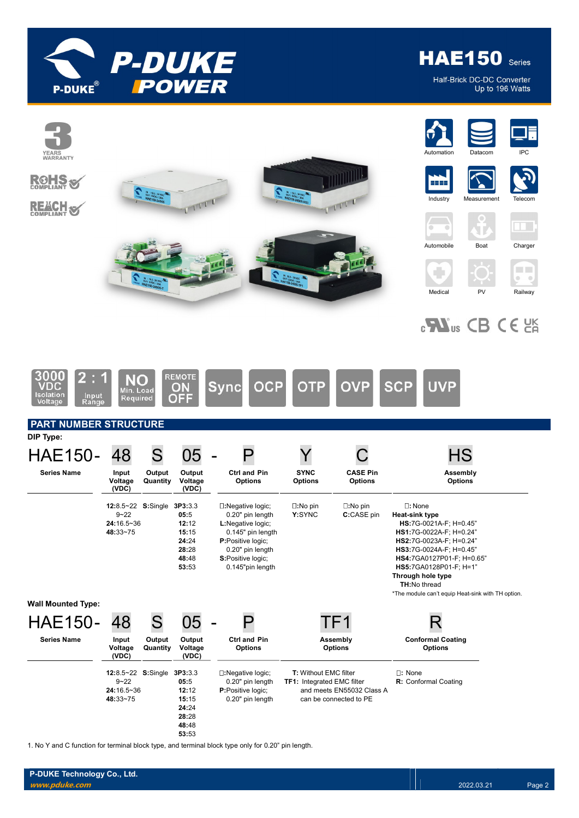

**HAE150** Series

Half-Brick DC-DC Converter Up to 196 Watts



1. No Y and C function for terminal block type, and terminal block type only for 0.20" pin length.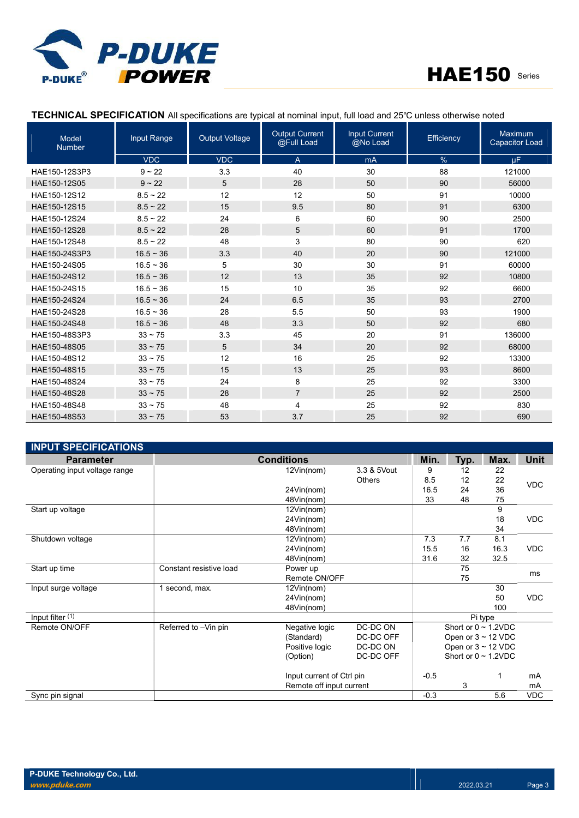



# TECHNICAL SPECIFICATION All specifications are typical at nominal input, full load and 25℃ unless otherwise noted

| Model<br><b>Number</b> | Input Range    | <b>Output Voltage</b> | <b>Output Current</b><br>@Full Load | <b>Input Current</b><br>@No Load | Efficiency | <b>Maximum</b><br><b>Capacitor Load</b> |
|------------------------|----------------|-----------------------|-------------------------------------|----------------------------------|------------|-----------------------------------------|
|                        | <b>VDC</b>     | <b>VDC</b>            | A                                   | mA                               | %          | <b>uF</b>                               |
| HAE150-12S3P3          | $9 - 22$       | 3.3                   | 40                                  | 30                               | 88         | 121000                                  |
| HAE150-12S05           | $9 - 22$       | 5                     | 28                                  | 50                               | 90         | 56000                                   |
| HAE150-12S12           | $8.5 \sim 22$  | 12                    | 12                                  | 50                               | 91         | 10000                                   |
| HAE150-12S15           | $8.5 \sim 22$  | 15                    | 9.5                                 | 80                               | 91         | 6300                                    |
| HAE150-12S24           | $8.5 \sim 22$  | 24                    | 6                                   | 60                               | 90         | 2500                                    |
| HAE150-12S28           | $8.5 \sim 22$  | 28                    | 5                                   | 60                               | 91         | 1700                                    |
| HAE150-12S48           | $8.5 \sim 22$  | 48                    | 3                                   | 80                               | 90         | 620                                     |
| HAE150-24S3P3          | $16.5 \sim 36$ | 3.3                   | 40                                  | 20                               | 90         | 121000                                  |
| HAE150-24S05           | $16.5 \sim 36$ | 5                     | 30                                  | 30                               | 91         | 60000                                   |
| HAE150-24S12           | $16.5 \sim 36$ | 12                    | 13                                  | 35                               | 92         | 10800                                   |
| HAE150-24S15           | $16.5 \sim 36$ | 15                    | 10                                  | 35                               | 92         | 6600                                    |
| HAE150-24S24           | $16.5 \sim 36$ | 24                    | 6.5                                 | 35                               | 93         | 2700                                    |
| HAE150-24S28           | $16.5 \sim 36$ | 28                    | 5.5                                 | 50                               | 93         | 1900                                    |
| HAE150-24S48           | $16.5 \sim 36$ | 48                    | 3.3                                 | 50                               | 92         | 680                                     |
| HAE150-48S3P3          | $33 \sim 75$   | 3.3                   | 45                                  | 20                               | 91         | 136000                                  |
| HAE150-48S05           | $33 \sim 75$   | 5                     | 34                                  | 20                               | 92         | 68000                                   |
| HAE150-48S12           | $33 \sim 75$   | 12                    | 16                                  | 25                               | 92         | 13300                                   |
| HAE150-48S15           | $33 \sim 75$   | 15                    | 13                                  | 25                               | 93         | 8600                                    |
| HAE150-48S24           | $33 - 75$      | 24                    | 8                                   | 25                               | 92         | 3300                                    |
| HAE150-48S28           | $33 \sim 75$   | 28                    | $\overline{7}$                      | 25                               | 92         | 2500                                    |
| HAE150-48S48           | $33 - 75$      | 48                    | 4                                   | 25                               | 92         | 830                                     |
| HAE150-48S53           | $33 \sim 75$   | 53                    | 3.7                                 | 25                               | 92         | 690                                     |

| <b>INPUT SPECIFICATIONS</b>   |                         |                           |               |        |                           |                         |             |
|-------------------------------|-------------------------|---------------------------|---------------|--------|---------------------------|-------------------------|-------------|
| <b>Parameter</b>              |                         | <b>Conditions</b>         |               | Min.   | Typ.                      | Max.                    | <b>Unit</b> |
| Operating input voltage range |                         | 12Vin(nom)                | 3.3 & 5Vout   | 9      | 12                        | 22                      |             |
|                               |                         |                           | <b>Others</b> | 8.5    | 12                        | 22                      | <b>VDC</b>  |
|                               |                         | 24Vin(nom)                |               | 16.5   | 24                        | 36                      |             |
|                               |                         | 48Vin(nom)                |               | 33     | 48                        | 75                      |             |
| Start up voltage              |                         | 12Vin(nom)                |               |        |                           | 9                       |             |
|                               |                         | 24Vin(nom)                |               |        |                           | 18                      | <b>VDC</b>  |
|                               |                         | 48Vin(nom)                |               |        |                           | 34                      |             |
| Shutdown voltage              |                         | 12Vin(nom)                |               | 7.3    | 7.7                       | 8.1                     |             |
|                               |                         | 24Vin(nom)                |               | 15.5   | 16                        | 16.3                    | <b>VDC</b>  |
|                               |                         | 48Vin(nom)                |               | 31.6   | 32                        | 32.5                    |             |
| Start up time                 | Constant resistive load | Power up                  |               |        | 75                        |                         | ms          |
|                               |                         | Remote ON/OFF             |               |        | 75                        |                         |             |
| Input surge voltage           | 1 second, max.          | 12Vin(nom)                |               |        |                           | 30                      |             |
|                               |                         | 24Vin(nom)                |               |        |                           | 50                      | <b>VDC</b>  |
|                               |                         | 48Vin(nom)                |               |        |                           | 100                     |             |
| Input filter (1)              |                         |                           |               |        |                           | Pi type                 |             |
| Remote ON/OFF                 | Referred to -Vin pin    | Negative logic            | DC-DC ON      |        | Short or $0 \sim 1.2$ VDC |                         |             |
|                               |                         | (Standard)                | DC-DC OFF     |        |                           | Open or $3 \sim 12$ VDC |             |
|                               |                         | Positive logic            | DC-DC ON      |        |                           | Open or $3 \sim 12$ VDC |             |
|                               |                         | (Option)                  | DC-DC OFF     |        | Short or $0 \sim 1.2$ VDC |                         |             |
|                               |                         | Input current of Ctrl pin |               | $-0.5$ |                           |                         | mA          |
|                               |                         | Remote off input current  |               |        | 3                         |                         | mA          |
| Sync pin signal               |                         |                           |               | $-0.3$ |                           | 5.6                     | <b>VDC</b>  |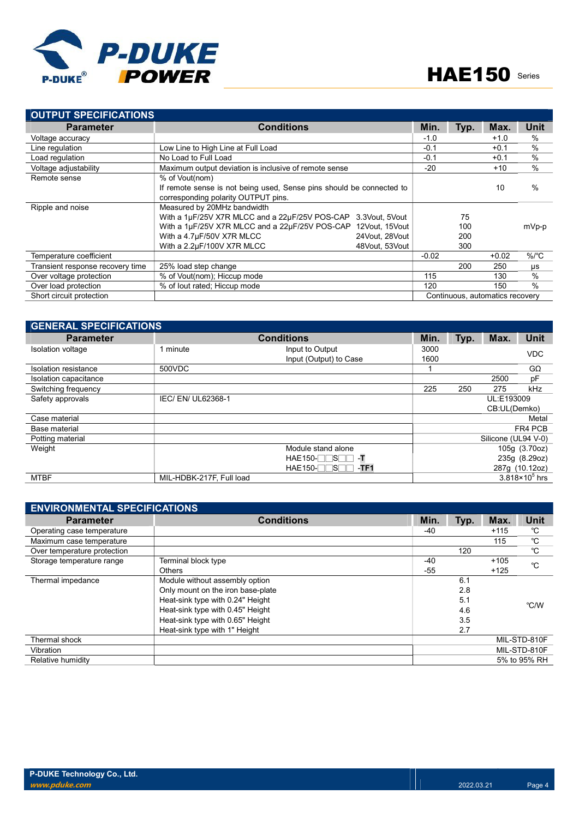

| <b>OUTPUT SPECIFICATIONS</b>     |                                                                      |                |         |      |                                 |               |
|----------------------------------|----------------------------------------------------------------------|----------------|---------|------|---------------------------------|---------------|
| <b>Parameter</b>                 | <b>Conditions</b>                                                    |                | Min.    | Typ. | Max.                            | <b>Unit</b>   |
| Voltage accuracy                 |                                                                      |                | $-1.0$  |      | $+1.0$                          | $\%$          |
| Line regulation                  | Low Line to High Line at Full Load                                   |                | $-0.1$  |      | $+0.1$                          | $\frac{0}{0}$ |
| Load regulation                  | No Load to Full Load                                                 |                | $-0.1$  |      | $+0.1$                          | $\frac{0}{0}$ |
| Voltage adjustability            | Maximum output deviation is inclusive of remote sense                |                | $-20$   |      | $+10$                           | $\%$          |
| Remote sense                     | % of Vout(nom)                                                       |                |         |      |                                 |               |
|                                  | If remote sense is not being used. Sense pins should be connected to |                |         |      | 10                              | $\frac{0}{0}$ |
|                                  | corresponding polarity OUTPUT pins.                                  |                |         |      |                                 |               |
| Ripple and noise                 | Measured by 20MHz bandwidth                                          |                |         |      |                                 |               |
|                                  | With a 1µF/25V X7R MLCC and a 22µF/25V POS-CAP                       | 3.3Vout. 5Vout |         | 75   |                                 |               |
|                                  | With a 1µF/25V X7R MLCC and a 22µF/25V POS-CAP                       | 12Vout, 15Vout |         | 100  |                                 | mVp-p         |
|                                  | With a 4.7µF/50V X7R MLCC                                            | 24Vout, 28Vout |         | 200  |                                 |               |
|                                  | With a 2.2µF/100V X7R MLCC                                           | 48Vout. 53Vout |         | 300  |                                 |               |
| Temperature coefficient          |                                                                      |                | $-0.02$ |      | $+0.02$                         | $\%$ /°C      |
| Transient response recovery time | 25% load step change                                                 |                |         | 200  | 250                             | μs            |
| Over voltage protection          | % of Vout(nom); Hiccup mode                                          |                | 115     |      | 130                             | $\%$          |
| Over load protection             | % of lout rated: Hiccup mode                                         |                | 120     |      | 150                             | $\frac{0}{0}$ |
| Short circuit protection         |                                                                      |                |         |      | Continuous, automatics recovery |               |

| <b>GENERAL SPECIFICATIONS</b> |                          |                             |      |               |                     |                         |
|-------------------------------|--------------------------|-----------------------------|------|---------------|---------------------|-------------------------|
| <b>Parameter</b>              |                          | <b>Conditions</b>           | Min. | Typ.          | Max.                | <b>Unit</b>             |
| Isolation voltage             | 1 minute                 | Input to Output             | 3000 |               |                     | <b>VDC</b>              |
|                               |                          | Input (Output) to Case      | 1600 |               |                     |                         |
| Isolation resistance          | 500VDC                   |                             |      |               |                     | $G\Omega$               |
| Isolation capacitance         |                          |                             |      |               | 2500                | pF                      |
| Switching frequency           |                          |                             | 225  | 250           | 275                 | kHz                     |
| Safety approvals              | IEC/ EN/ UL62368-1       |                             |      |               | UL:E193009          |                         |
|                               |                          |                             |      |               | CB:UL(Demko)        |                         |
| Case material                 |                          |                             |      |               |                     | Metal                   |
| Base material                 |                          |                             |      |               |                     | FR4 PCB                 |
| Potting material              |                          |                             |      |               | Silicone (UL94 V-0) |                         |
| Weight                        | Module stand alone       |                             |      | 105g (3.70oz) |                     |                         |
|                               |                          | $HAE150-$<br>-T<br>าร⊓      |      |               |                     | 235g (8.29oz)           |
|                               |                          | $HAE150-T$<br>⊬ ]S⊡<br>-TF1 |      |               |                     | 287g (10.12oz)          |
| <b>MTBF</b>                   | MIL-HDBK-217F, Full load |                             |      |               |                     | $3.818 \times 10^5$ hrs |

| <b>ENVIRONMENTAL SPECIFICATIONS</b> |                                   |       |      |        |              |  |  |
|-------------------------------------|-----------------------------------|-------|------|--------|--------------|--|--|
| <b>Parameter</b>                    | <b>Conditions</b>                 | Min.  | Typ. | Max.   | <b>Unit</b>  |  |  |
| Operating case temperature          |                                   | -40   |      | $+115$ | °C           |  |  |
| Maximum case temperature            |                                   |       |      | 115    | °C           |  |  |
| Over temperature protection         |                                   |       | 120  |        | $^{\circ}$ C |  |  |
| Storage temperature range           | Terminal block type               | $-40$ |      | $+105$ | °C           |  |  |
|                                     | <b>Others</b>                     | $-55$ |      | $+125$ |              |  |  |
| Thermal impedance                   | Module without assembly option    |       | 6.1  |        |              |  |  |
|                                     | Only mount on the iron base-plate |       | 2.8  |        |              |  |  |
|                                     | Heat-sink type with 0.24" Height  |       | 5.1  |        | °C/W         |  |  |
|                                     | Heat-sink type with 0.45" Height  |       | 4.6  |        |              |  |  |
|                                     | Heat-sink type with 0.65" Height  |       | 3.5  |        |              |  |  |
|                                     | Heat-sink type with 1" Height     |       | 2.7  |        |              |  |  |
| Thermal shock                       |                                   |       |      |        | MIL-STD-810F |  |  |
| Vibration                           |                                   |       |      |        | MIL-STD-810F |  |  |
| Relative humidity                   |                                   |       |      |        | 5% to 95% RH |  |  |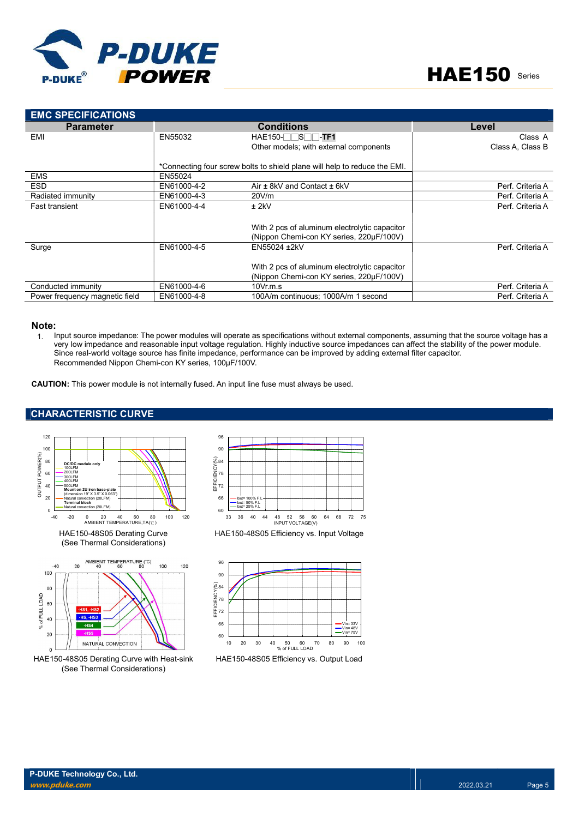

| <b>EMC SPECIFICATIONS</b>                                                                                                                                                                                                                                                                                                                                                                                                                      |                                                                             |                                                                                                                                                                                      |                  |
|------------------------------------------------------------------------------------------------------------------------------------------------------------------------------------------------------------------------------------------------------------------------------------------------------------------------------------------------------------------------------------------------------------------------------------------------|-----------------------------------------------------------------------------|--------------------------------------------------------------------------------------------------------------------------------------------------------------------------------------|------------------|
| <b>Parameter</b>                                                                                                                                                                                                                                                                                                                                                                                                                               |                                                                             | <b>Conditions</b>                                                                                                                                                                    | Level            |
| EMI                                                                                                                                                                                                                                                                                                                                                                                                                                            | EN55032                                                                     | HAE150- <b>SSSS</b> -TF1                                                                                                                                                             | Class A          |
|                                                                                                                                                                                                                                                                                                                                                                                                                                                |                                                                             | Other models; with external components                                                                                                                                               | Class A. Class B |
|                                                                                                                                                                                                                                                                                                                                                                                                                                                |                                                                             |                                                                                                                                                                                      |                  |
|                                                                                                                                                                                                                                                                                                                                                                                                                                                | EN55024                                                                     | *Connecting four screw bolts to shield plane will help to reduce the EMI.                                                                                                            |                  |
| <b>EMS</b><br><b>ESD</b>                                                                                                                                                                                                                                                                                                                                                                                                                       | EN61000-4-2                                                                 | Air ± 8kV and Contact ± 6kV                                                                                                                                                          | Perf. Criteria A |
| Radiated immunity                                                                                                                                                                                                                                                                                                                                                                                                                              | EN61000-4-3                                                                 | 20V/m                                                                                                                                                                                | Perf. Criteria A |
| <b>Fast transient</b>                                                                                                                                                                                                                                                                                                                                                                                                                          | EN61000-4-4                                                                 | $±$ 2kV                                                                                                                                                                              | Perf. Criteria A |
|                                                                                                                                                                                                                                                                                                                                                                                                                                                |                                                                             |                                                                                                                                                                                      |                  |
|                                                                                                                                                                                                                                                                                                                                                                                                                                                |                                                                             | With 2 pcs of aluminum electrolytic capacitor                                                                                                                                        |                  |
|                                                                                                                                                                                                                                                                                                                                                                                                                                                |                                                                             | (Nippon Chemi-con KY series, 220µF/100V)                                                                                                                                             |                  |
| Surge                                                                                                                                                                                                                                                                                                                                                                                                                                          | EN61000-4-5                                                                 | EN55024 ±2kV                                                                                                                                                                         | Perf. Criteria A |
|                                                                                                                                                                                                                                                                                                                                                                                                                                                |                                                                             |                                                                                                                                                                                      |                  |
|                                                                                                                                                                                                                                                                                                                                                                                                                                                |                                                                             | With 2 pcs of aluminum electrolytic capacitor                                                                                                                                        |                  |
|                                                                                                                                                                                                                                                                                                                                                                                                                                                |                                                                             | (Nippon Chemi-con KY series, 220µF/100V)                                                                                                                                             |                  |
| Conducted immunity                                                                                                                                                                                                                                                                                                                                                                                                                             | EN61000-4-6                                                                 | 10Vr.m.s                                                                                                                                                                             | Perf. Criteria A |
| Power frequency magnetic field                                                                                                                                                                                                                                                                                                                                                                                                                 | EN61000-4-8                                                                 | 100A/m continuous; 1000A/m 1 second                                                                                                                                                  | Perf. Criteria A |
|                                                                                                                                                                                                                                                                                                                                                                                                                                                |                                                                             | <b>CAUTION:</b> This power module is not internally fused. An input line fuse must always be used.                                                                                   |                  |
| <b>CHARACTERISTIC CURVE</b>                                                                                                                                                                                                                                                                                                                                                                                                                    |                                                                             |                                                                                                                                                                                      |                  |
| 120<br>100<br>OUTPUT POWER(%)<br>80<br>DC/DC module only<br>100LFM<br>200LFM<br>60<br>300L FM<br>400LFM<br>40<br>500LFM<br>Mount on 2U iron base-plate<br>(dimension 19" X 3.5" X 0.063")<br>20<br>Natural convection (20LFM)<br><b>Terminal block</b><br>Natural convection (20LFM)<br>$\Omega$<br>40<br>60<br>$\Omega$<br>20<br>$-40$<br>$-20$<br>AMBIENT TEMPERATURE, TA(°C)<br>HAE150-48S05 Derating Curve<br>(See Thermal Considerations) | 96<br>90<br>(8) 284<br>HOLED 78<br>HOLED 72<br>66<br>60<br>80<br>100<br>120 | $-$ lout= 100% F.L<br>Nout=50% F.L<br>- lout= $25%$ F.L<br>40 44<br>48 52 56<br>60<br>64<br>68<br>72 75<br>33<br>36<br>INPUT VOLTAGE(V)<br>HAE150-48S05 Efficiency vs. Input Voltage |                  |
| AMBIENT TEMPERATURE (°C)<br>$-40$<br>20<br>40<br>60<br>80<br>100                                                                                                                                                                                                                                                                                                                                                                               | 96<br>100<br>120<br>90                                                      |                                                                                                                                                                                      |                  |

#### Note:

# CHARACTERISTIC CURVE



HAE150-48S05 Derating Curve (See Thermal Considerations)



HAE150-48S05 Derating Curve with Heat-sink (See Thermal Considerations)



HAE150-48S05 Efficiency vs. Input Voltage



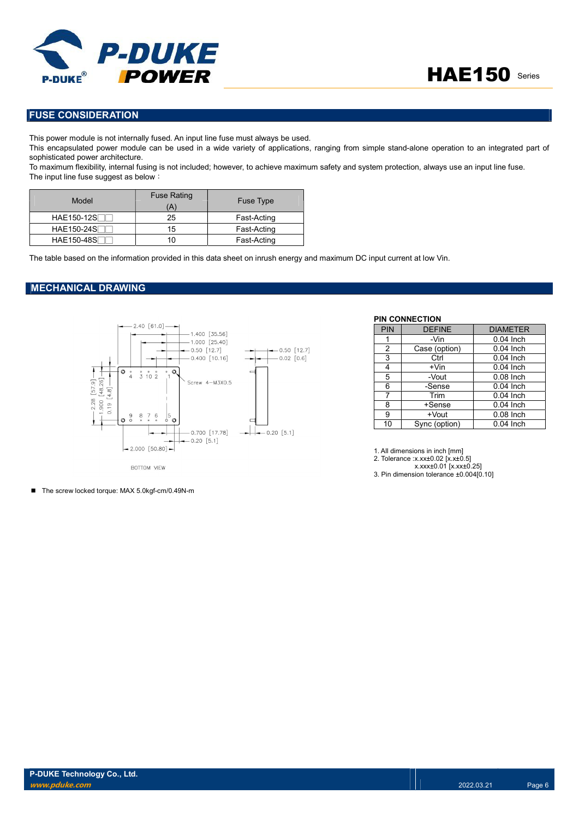

# FUSE CONSIDERATION

This power module is not internally fused. An input line fuse must always be used.

This encapsulated power module can be used in a wide variety of applications, ranging from simple stand-alone operation to an integrated part of sophisticated power architecture.

To maximum flexibility, internal fusing is not included; however, to achieve maximum safety and system protection, always use an input line fuse. The input line fuse suggest as below:

| Model             | <b>Fuse Rating</b><br>(A) | <b>Fuse Type</b> |
|-------------------|---------------------------|------------------|
| <b>HAE150-12S</b> | 25                        | Fast-Acting      |
| HAE150-24S        | 15                        | Fast-Acting      |
| <b>HAE150-48S</b> |                           | Fast-Acting      |

The table based on the information provided in this data sheet on inrush energy and maximum DC input current at low Vin.

### MECHANICAL DRAWING



| PIN | <b>DEFINE</b> | <b>DIAMETER</b> |
|-----|---------------|-----------------|
| 1   | -Vin          | $0.04$ Inch     |
| 2   | Case (option) | $0.04$ Inch     |
| 3   | Ctrl          | $0.04$ Inch     |
| 4   | $+V$ in       | $0.04$ Inch     |
| 5   | -Vout         | $0.08$ Inch     |
| 6   | -Sense        | $0.04$ Inch     |
| 7   | Trim          | $0.04$ Inch     |
| 8   | +Sense        | $0.04$ Inch     |
| 9   | +Vout         | $0.08$ Inch     |
| 10  | Sync (option) | 0.04 Inch       |

1. All dimensions in inch [mm]

PIN CONNECTION

2. Tolerance :x.xx±0.02 [x.x±0.5]

x.xxx±0.01 [x.xx±0.25] 3. Pin dimension tolerance ±0.004[0.10]

■ The screw locked torque: MAX 5.0kgf-cm/0.49N-m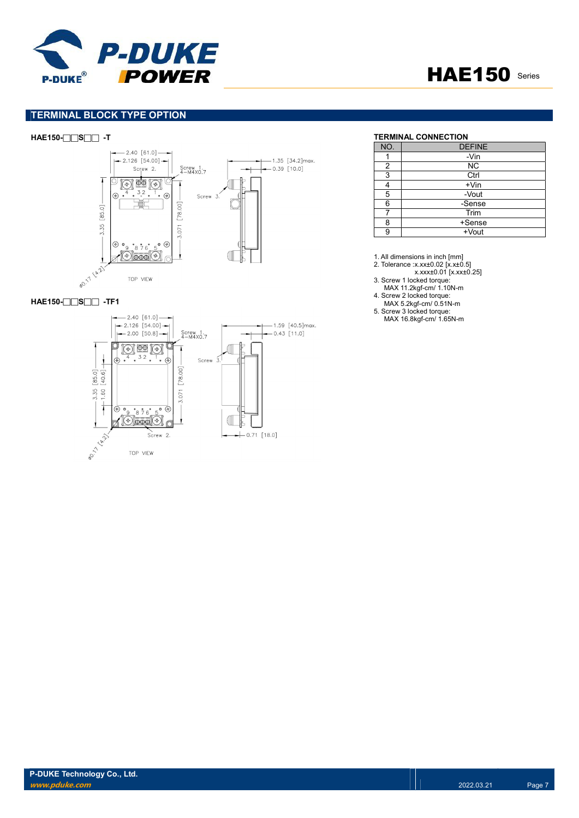



# TERMINAL BLOCK TYPE OPTION



#### HAE150-□□S□□ -TF1



# HAE150-□□S□□ -T TERMINAL CONNECTION

| NO. | <b>DEFINE</b> |
|-----|---------------|
|     | -Vin          |
| 2   | <b>NC</b>     |
| 3   | Ctrl          |
|     | $+V$ in       |
| 5   | -Vout         |
| 6   | -Sense        |
|     | Trim          |
| 8   | +Sense        |
| 9   | +Vout         |

1. All dimensions in inch [mm]

2. Tolerance :x.xx±0.02 [x.x±0.5]

x.xxx±0.01 [x.xx±0.25]

3. Screw 1 locked torque: MAX 11.2kgf-cm/ 1.10N-m

4. Screw 2 locked torque:

MAX 5.2kgf-cm/ 0.51N-m

5. Screw 3 locked torque: MAX 16.8kgf-cm/ 1.65N-m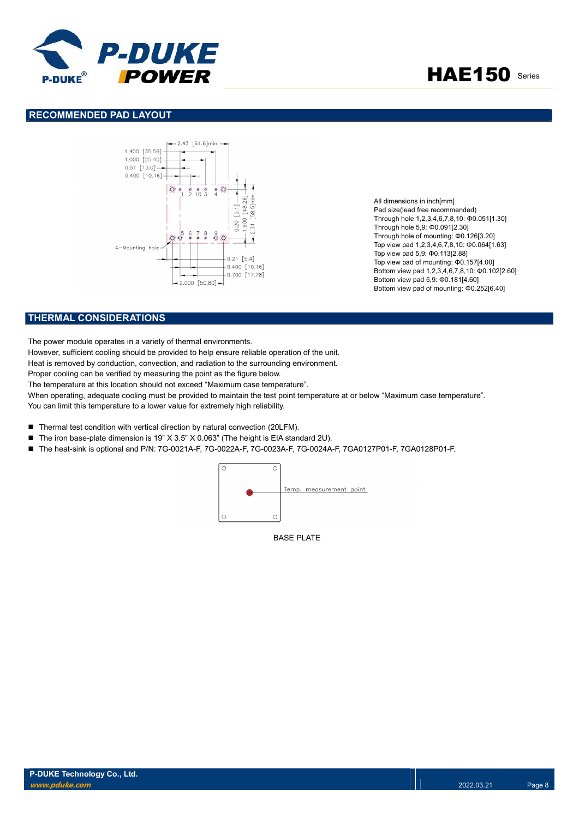



## RECOMMENDED PAD LAYOUT



All dimensions in inch[mm] Pad size(lead free recommended) Through hole 1,2,3,4,6,7,8,10: Φ0.051[1.30] Through hole 5,9: Φ0.091[2.30] Through hole of mounting: Φ0.126[3.20] Top view pad 1,2,3,4,6,7,8,10: Φ0.064[1.63] Top view pad 5,9: Φ0.113[2.88] Top view pad of mounting: Φ0.157[4.00] Bottom view pad 1,2,3,4,6,7,8,10: Φ0.102[2.60] Bottom view pad 5,9: Φ0.181[4.60] Bottom view pad of mounting: Φ0.252[6.40]

# THERMAL CONSIDERATIONS

The power module operates in a variety of thermal environments.

However, sufficient cooling should be provided to help ensure reliable operation of the unit.

Heat is removed by conduction, convection, and radiation to the surrounding environment.

Proper cooling can be verified by measuring the point as the figure below.

The temperature at this location should not exceed "Maximum case temperature".

When operating, adequate cooling must be provided to maintain the test point temperature at or below "Maximum case temperature". You can limit this temperature to a lower value for extremely high reliability.

- Thermal test condition with vertical direction by natural convection (20LFM).
- The iron base-plate dimension is 19" X 3.5" X 0.063" (The height is EIA standard 2U).
- The heat-sink is optional and P/N: 7G-0021A-F, 7G-0022A-F, 7G-0023A-F, 7G-0024A-F, 7GA0127P01-F, 7GA0128P01-F.



BASE PLATE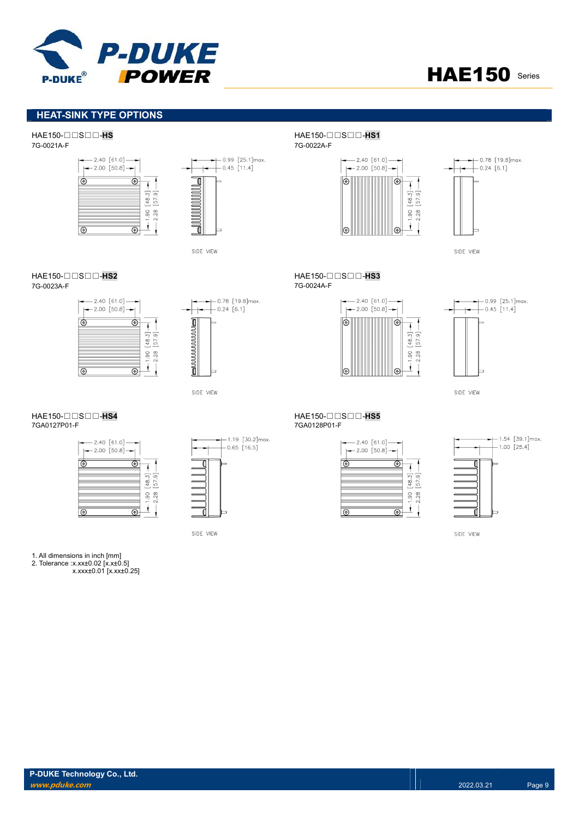



# HEAT-SINK TYPE OPTIONS

# HAE150-□□S□□-HS<br>TG-0021A-F<br>TG-0021A-F





SIDE VIEW

# HAE150-□□S□□-HS2 HAE150-□□S□□-HS3

7G-0023A-F 7G-0024A-F





SIDE VIEW

| $-2.40$ [61.0] -<br>$-2.00$ [50.8] $-$ |          |
|----------------------------------------|----------|
|                                        |          |
|                                        | 28<br>ട് |
|                                        |          |



SIDE VIEW

#### 1. All dimensions in inch [mm]

2. Tolerance :x.xx±0.02 [x.x±0.5]

x.xxx±0.01 [x.xx±0.25]

7G-0021A-F 7G-0022A-F





SIDE VIEW

 $-2.40 [61.0] \rightarrow$ 





SIDE VIEW

#### HAE150-□□S□□-HS4<br>7GA0127P01-F<br>7GA0128P01-F 7GA0128P01-F

| $-2.40 [61.0]$<br>$-2.00$ [50.8] |         |
|----------------------------------|---------|
|                                  |         |
|                                  | 48.     |
|                                  | 28<br>g |
|                                  |         |

 $+1.54$  [39.1]max.  $+1.00$  [25.4]

SIDE VIEW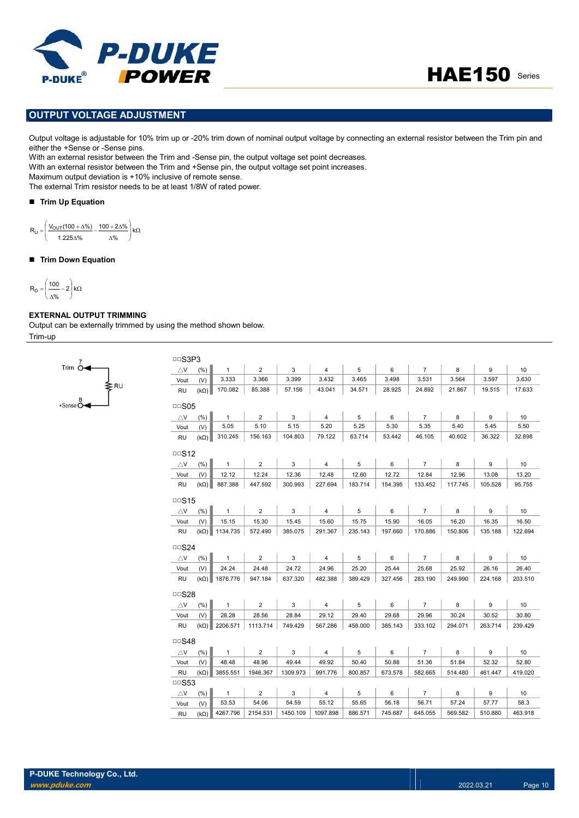



# OUTPUT VOLTAGE ADJUSTMENT

Output voltage is adjustable for 10% trim up or -20% trim down of nominal output voltage by connecting an external resistor between the Trim pin and either the +Sense or -Sense pins.

With an external resistor between the Trim and -Sense pin, the output voltage set point decreases.

With an external resistor between the Trim and +Sense pin, the output voltage set point increases.

Maximum output deviation is +10% inclusive of remote sense.

The external Trim resistor needs to be at least 1/8W of rated power.

#### ■ Trim Up Equation

 $\left.\right|$ kΩ J  $R_U = \left( \frac{V_{OUT}(100 + \Delta\%)}{4.005 \cdot 0.06} - \frac{100 + 2\Delta\%}{4.005 \cdot 0.06} \right)$  kg L %  $1.225\Delta\%$  $R_U =$ 

#### ■ Trim Down Equation

$$
R_D = \left(\frac{100}{\Delta\%} - 2\right) k\Omega
$$

### EXTERNAL OUTPUT TRIMMING

Output can be externally trimmed by using the method shown below. Trim-up

| Trim O                       |     |
|------------------------------|-----|
|                              | ⊊RU |
| +Sense $\stackrel{8}{\circ}$ |     |

| □□S3P3                     |             |                      |                |              |                |             |         |                |         |         |         |
|----------------------------|-------------|----------------------|----------------|--------------|----------------|-------------|---------|----------------|---------|---------|---------|
| $\bigtriangleup\mathsf{V}$ | (% )        | $\mathbf{1}$         | $\overline{2}$ | 3            | $\overline{4}$ | 5           | 6       | $\overline{7}$ | 8       | 9       | 10      |
| Vout                       | (V)         | 3.333                | 3.366          | 3.399        | 3.432          | 3.465       | 3.498   | 3.531          | 3.564   | 3.597   | 3.630   |
| <b>RU</b>                  | $(k\Omega)$ | 170.082              | 85.388         | 57.156       | 43.041         | 34.571      | 28.925  | 24.892         | 21.867  | 19.515  | 17.633  |
| $\Box$ SO5                 |             |                      |                |              |                |             |         |                |         |         |         |
| $\triangle$ V              | (%)         | $\mathbf{1}$         | $\overline{2}$ | $\mathbf{3}$ | $\overline{4}$ | 5           | 6       | $\overline{7}$ | 8       | 9       | 10      |
| Vout                       | (V)         | 5.05                 | 5.10           | 5.15         | 5.20           | 5.25        | 5.30    | 5.35           | 5.40    | 5.45    | 5.50    |
| <b>RU</b>                  | $(k\Omega)$ | 310.245              | 156.163        | 104.803      | 79.122         | 63.714      | 53.442  | 46.105         | 40.602  | 36.322  | 32.898  |
| $\Box$ S12                 |             |                      |                |              |                |             |         |                |         |         |         |
| $\triangle$ V              | (%)         | $\mathbf{1}$         | $\overline{2}$ | 3            | 4              | $\,$ 5 $\,$ | 6       | $\overline{7}$ | 8       | 9       | 10      |
| Vout                       | (V)         | 12.12                | 12.24          | 12.36        | 12.48          | 12.60       | 12.72   | 12.84          | 12.96   | 13.08   | 13.20   |
| <b>RU</b>                  | $(k\Omega)$ | 887.388              | 447.592        | 300.993      | 227.694        | 183.714     | 154.395 | 133.452        | 117.745 | 105.528 | 95.755  |
| $\Box$ S15                 |             |                      |                |              |                |             |         |                |         |         |         |
| $\triangle$ V              | (% )        | $\mathbf{1}$         | $\overline{2}$ | 3            | 4              | 5           | 6       | $\overline{7}$ | 8       | 9       | 10      |
| Vout                       | (V)         | 15.15                | 15.30          | 15.45        | 15.60          | 15.75       | 15.90   | 16.05          | 16.20   | 16.35   | 16.50   |
| <b>RU</b>                  |             | $(k\Omega)$ 1134.735 | 572.490        | 385.075      | 291.367        | 235.143     | 197.660 | 170.886        | 150.806 | 135.188 | 122.694 |
| □□ $S24$                   |             |                      |                |              |                |             |         |                |         |         |         |
| $\triangle$ V              | (% )        | $\mathbf{1}$         | $\overline{2}$ | 3            | 4              | 5           | 6       | $\overline{7}$ | 8       | 9       | 10      |
| Vout                       | (V)         | 24.24                | 24.48          | 24.72        | 24.96          | 25.20       | 25.44   | 25.68          | 25.92   | 26.16   | 26.40   |
| RU                         | $(k\Omega)$ | 1876.776             | 947.184        | 637.320      | 482.388        | 389.429     | 327.456 | 283.190        | 249.990 | 224.168 | 203.510 |
| □□S28                      |             |                      |                |              |                |             |         |                |         |         |         |
| $\triangle$ V              | (% )        | $\mathbf{1}$         | $\overline{2}$ | 3            | $\overline{4}$ | 5           | 6       | $\overline{7}$ | 8       | 9       | 10      |
| Vout                       | (V)         | 28.28                | 28.56          | 28.84        | 29.12          | 29.40       | 29.68   | 29.96          | 30.24   | 30.52   | 30.80   |
| RU                         | $(k\Omega)$ | 2206.571             | 1113.714       | 749.429      | 567.286        | 458.000     | 385.143 | 333.102        | 294.071 | 263.714 | 239.429 |
|                            |             |                      |                |              |                |             |         |                |         |         |         |
| $\Box$ S48                 |             |                      |                |              |                |             |         |                |         |         |         |
| $\triangle$ V              | (% )        | $\mathbf{1}$         | $\overline{2}$ | 3            | $\overline{4}$ | 5           | 6       | $\overline{7}$ | 8       | 9       | 10      |
| Vout                       | (V)         | 48.48                | 48.96          | 49.44        | 49.92          | 50.40       | 50.88   | 51.36          | 51.84   | 52.32   | 52.80   |
| <b>RU</b>                  | $(k\Omega)$ | 3855.551             | 1946.367       | 1309.973     | 991.776        | 800.857     | 673.578 | 582.665        | 514.480 | 461.447 | 419.020 |
| $\Box$ S53                 |             |                      |                |              |                |             |         |                |         |         |         |
| $\triangle$ V              | (% )        | $\mathbf{1}$         | $\overline{2}$ | 3            | 4              | 5           | 6       | $\overline{7}$ | 8       | 9       | 10      |
| Vout                       | (V)         | 53.53                | 54.06          | 54.59        | 55.12          | 55.65       | 56.18   | 56.71          | 57.24   | 57.77   | 58.3    |
| RU                         | $(k\Omega)$ | 4267.796             | 2154.531       | 1450.109     | 1097.898       | 886.571     | 745.687 | 645.055        | 569.582 | 510.880 | 463.918 |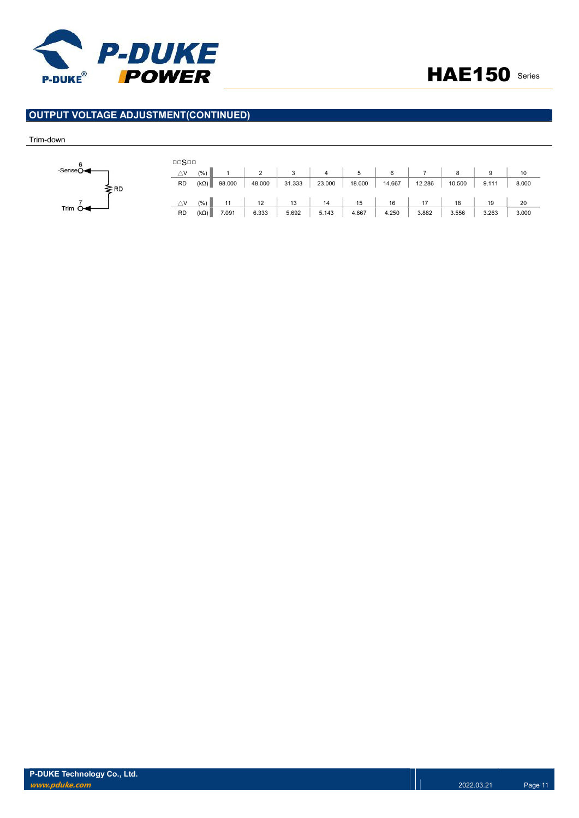



# OUTPUT VOLTAGE ADJUSTMENT(CONTINUED)

#### Trim-down